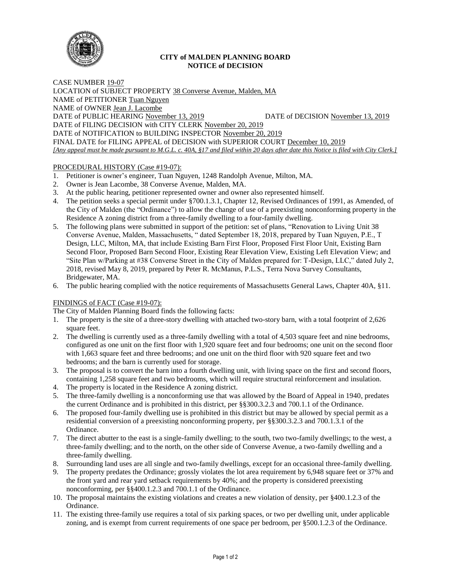

# **CITY of MALDEN PLANNING BOARD NOTICE of DECISION**

CASE NUMBER 19-07 LOCATION of SUBJECT PROPERTY 38 Converse Avenue, Malden, MA NAME of PETITIONER Tuan Nguyen NAME of OWNER Jean J. Lacombe DATE of PUBLIC HEARING November 13, 2019 DATE of DECISION November 13, 2019 DATE of FILING DECISION with CITY CLERK November 20, 2019 DATE of NOTIFICATION to BUILDING INSPECTOR November 20, 2019 FINAL DATE for FILING APPEAL of DECISION with SUPERIOR COURT December 10, 2019 *[Any appeal must be made pursuant to M.G.L. c. 40A, §17 and filed within 20 days after date this Notice is filed with City Clerk.]* 

# PROCEDURAL HISTORY (Case #19-07):

- 1. Petitioner is owner's engineer, Tuan Nguyen, 1248 Randolph Avenue, Milton, MA.
- 2. Owner is Jean Lacombe, 38 Converse Avenue, Malden, MA.
- 3. At the public hearing, petitioner represented owner and owner also represented himself.
- 4. The petition seeks a special permit under §700.1.3.1, Chapter 12, Revised Ordinances of 1991, as Amended, of the City of Malden (the "Ordinance") to allow the change of use of a preexisting nonconforming property in the Residence A zoning district from a three-family dwelling to a four-family dwelling.
- 5. The following plans were submitted in support of the petition: set of plans, "Renovation to Living Unit 38 Converse Avenue, Malden, Massachusetts, " dated September 18, 2018, prepared by Tuan Nguyen, P.E., T Design, LLC, Milton, MA, that include Existing Barn First Floor, Proposed First Floor Unit, Existing Barn Second Floor, Proposed Barn Second Floor, Existing Rear Elevation View, Existing Left Elevation View; and "Site Plan w/Parking at #38 Converse Street in the City of Malden prepared for: T-Design, LLC," dated July 2, 2018, revised May 8, 2019, prepared by Peter R. McManus, P.L.S., Terra Nova Survey Consultants, Bridgewater, MA.
- 6. The public hearing complied with the notice requirements of Massachusetts General Laws, Chapter 40A, §11.

# FINDINGS of FACT (Case #19-07):

The City of Malden Planning Board finds the following facts:

- 1. The property is the site of a three-story dwelling with attached two-story barn, with a total footprint of 2,626 square feet.
- 2. The dwelling is currently used as a three-family dwelling with a total of 4,503 square feet and nine bedrooms, configured as one unit on the first floor with 1,920 square feet and four bedrooms; one unit on the second floor with 1,663 square feet and three bedrooms; and one unit on the third floor with 920 square feet and two bedrooms; and the barn is currently used for storage.
- 3. The proposal is to convert the barn into a fourth dwelling unit, with living space on the first and second floors, containing 1,258 square feet and two bedrooms, which will require structural reinforcement and insulation.
- 4. The property is located in the Residence A zoning district.
- 5. The three-family dwelling is a nonconforming use that was allowed by the Board of Appeal in 1940, predates the current Ordinance and is prohibited in this district, per §§300.3.2.3 and 700.1.1 of the Ordinance.
- 6. The proposed four-family dwelling use is prohibited in this district but may be allowed by special permit as a residential conversion of a preexisting nonconforming property, per §§300.3.2.3 and 700.1.3.1 of the Ordinance.
- 7. The direct abutter to the east is a single-family dwelling; to the south, two two-family dwellings; to the west, a three-family dwelling; and to the north, on the other side of Converse Avenue, a two-family dwelling and a three-family dwelling.
- 8. Surrounding land uses are all single and two-family dwellings, except for an occasional three-family dwelling.
- 9. The property predates the Ordinance; grossly violates the lot area requirement by 6,948 square feet or 37% and the front yard and rear yard setback requirements by 40%; and the property is considered preexisting nonconforming, per §§400.1.2.3 and 700.1.1 of the Ordinance.
- 10. The proposal maintains the existing violations and creates a new violation of density, per §400.1.2.3 of the Ordinance.
- 11. The existing three-family use requires a total of six parking spaces, or two per dwelling unit, under applicable zoning, and is exempt from current requirements of one space per bedroom, per §500.1.2.3 of the Ordinance.